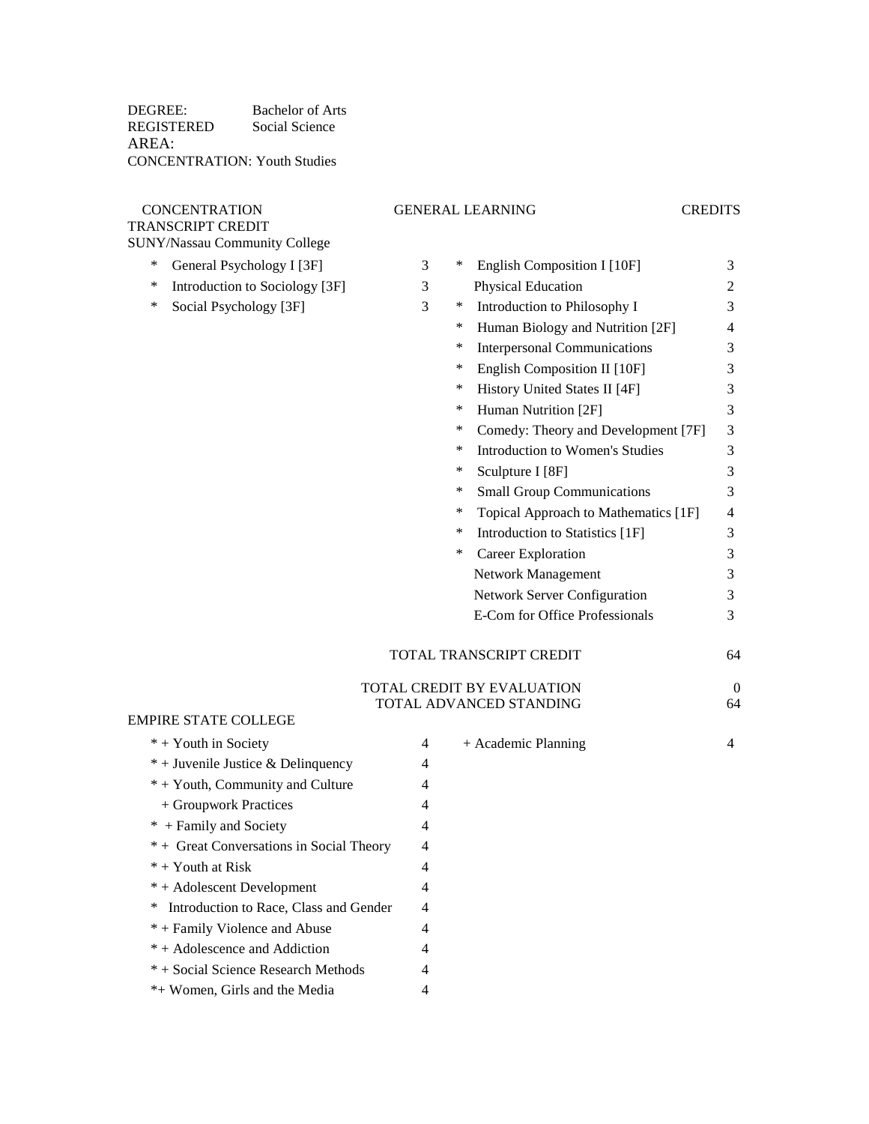DEGREE: Bachelor of Arts REGISTERED AREA: Social Science CONCENTRATION: Youth Studies

## TRANSCRIPT CREDIT

## CONCENTRATION GENERAL LEARNING CREDITS

- SUNY/Nassau Community College \* General Psychology I [3F] 3
	- \* Introduction to Sociology [3F] 3
	- \* Social Psychology [3F] 3

EMPIRE STATE COLLEGE  $* +$  Youth in Society

| ∗<br>General Psychology I [3F]           | 3              | English Composition I [10F]<br>∗            | 3              |
|------------------------------------------|----------------|---------------------------------------------|----------------|
| Introduction to Sociology [3F]<br>∗      | 3              | Physical Education                          | $\overline{c}$ |
| ∗<br>Social Psychology [3F]              | 3              | Introduction to Philosophy I<br>∗           | 3              |
|                                          |                | Human Biology and Nutrition [2F]<br>∗       | 4              |
|                                          |                | <b>Interpersonal Communications</b><br>∗    | 3              |
|                                          |                | English Composition II [10F]<br>∗           | 3              |
|                                          |                | History United States II [4F]<br>∗          | $\mathfrak{Z}$ |
|                                          |                | Human Nutrition [2F]<br>∗                   | 3              |
|                                          |                | Comedy: Theory and Development [7F]<br>∗    | 3              |
|                                          |                | <b>Introduction to Women's Studies</b><br>∗ | 3              |
|                                          |                | Sculpture I [8F]<br>∗                       | 3              |
|                                          |                | ∗<br><b>Small Group Communications</b>      | 3              |
|                                          |                | Topical Approach to Mathematics [1F]<br>∗   | $\overline{4}$ |
|                                          |                | Introduction to Statistics [1F]<br>$\ast$   | 3              |
|                                          |                | Career Exploration<br>∗                     | 3              |
|                                          |                | Network Management                          | 3              |
|                                          |                | Network Server Configuration                | 3              |
|                                          |                | E-Com for Office Professionals              | 3              |
|                                          |                | TOTAL TRANSCRIPT CREDIT                     | 64             |
|                                          |                | TOTAL CREDIT BY EVALUATION                  | $\theta$       |
|                                          |                | TOTAL ADVANCED STANDING                     | 64             |
| PIRE STATE COLLEGE                       |                |                                             |                |
| * + Youth in Society                     | 4              | + Academic Planning                         | $\overline{4}$ |
| * + Juvenile Justice & Delinquency       | 4              |                                             |                |
| * + Youth, Community and Culture         | 4              |                                             |                |
| + Groupwork Practices                    | 4              |                                             |                |
| * + Family and Society                   | 4              |                                             |                |
| * + Great Conversations in Social Theory | 4              |                                             |                |
| * + Youth at Risk                        | $\overline{4}$ |                                             |                |
| * + Adolescent Development               | 4              |                                             |                |

\* Introduction to Race, Class and Gender 4

- \* + Family Violence and Abuse 4 \* + Adolescence and Addiction 4
- \* + Social Science Research Methods 4
- \*+ Women, Girls and the Media 4